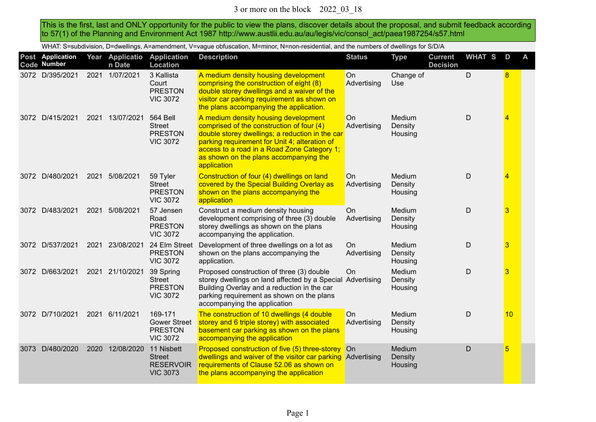This is the first, last and ONLY opportunity for the public to view the plans, discover details about the proposal, and submit feedback according to 57(1) of the Planning and Environment Act 1987 http://www.austlii.edu.au/au/legis/vic/consol\_act/paea1987254/s57.html

WHAT: S=subdivision, D=dwellings, A=amendment, V=vague obfuscation, M=minor, N=non-residential, and the numbers of dwellings for S/D/A

|      | Post Application<br>Code Number |      | Year Applicatio<br>n Date | <b>Application</b><br>Location                                        | <b>Description</b>                                                                                                                                                                                                                                                                            | <b>Status</b>            | <b>Type</b>                  | <b>Current</b><br><b>Decision</b> | <b>WHAT S</b> | D  | A |
|------|---------------------------------|------|---------------------------|-----------------------------------------------------------------------|-----------------------------------------------------------------------------------------------------------------------------------------------------------------------------------------------------------------------------------------------------------------------------------------------|--------------------------|------------------------------|-----------------------------------|---------------|----|---|
|      | 3072 D/395/2021                 | 2021 | 1/07/2021                 | 3 Kallista<br>Court<br><b>PRESTON</b><br><b>VIC 3072</b>              | A medium density housing development<br>comprising the construction of eight (8)<br>double storey dwellings and a waiver of the<br>visitor car parking requirement as shown on<br>the plans accompanying the application.                                                                     | On<br>Advertising        | Change of<br>Use             |                                   | D             | 8  |   |
|      | 3072 D/415/2021                 |      | 2021 13/07/2021           | <b>564 Bell</b><br><b>Street</b><br><b>PRESTON</b><br><b>VIC 3072</b> | A medium density housing development<br>comprised of the construction of four (4)<br>double storey dwellings; a reduction in the car<br>parking requirement for Unit 4; alteration of<br>access to a road in a Road Zone Category 1;<br>as shown on the plans accompanying the<br>application | On<br>Advertising        | Medium<br>Density<br>Housing |                                   | D             | 4  |   |
|      | 3072 D/480/2021                 |      | 2021 5/08/2021            | 59 Tyler<br><b>Street</b><br><b>PRESTON</b><br><b>VIC 3072</b>        | Construction of four (4) dwellings on land<br>covered by the Special Building Overlay as<br>shown on the plans accompanying the<br>application                                                                                                                                                | On<br>Advertising        | Medium<br>Density<br>Housing |                                   | D             | 4  |   |
|      | 3072 D/483/2021                 | 2021 | 5/08/2021                 | 57 Jensen<br>Road<br><b>PRESTON</b><br><b>VIC 3072</b>                | Construct a medium density housing<br>development comprising of three (3) double<br>storey dwellings as shown on the plans<br>accompanying the application.                                                                                                                                   | On<br>Advertising        | Medium<br>Density<br>Housing |                                   | D             | 3  |   |
|      | 3072 D/537/2021                 | 2021 | 23/08/2021                | 24 Elm Street<br><b>PRESTON</b><br><b>VIC 3072</b>                    | Development of three dwellings on a lot as<br>shown on the plans accompanying the<br>application.                                                                                                                                                                                             | <b>On</b><br>Advertising | Medium<br>Density<br>Housing |                                   | D             | 3  |   |
|      | 3072 D/663/2021                 |      | 2021 21/10/2021           | 39 Spring<br><b>Street</b><br><b>PRESTON</b><br><b>VIC 3072</b>       | Proposed construction of three (3) double<br>storey dwellings on land affected by a Special Advertising<br>Building Overlay and a reduction in the car<br>parking requirement as shown on the plans<br>accompanying the application                                                           | <b>On</b>                | Medium<br>Density<br>Housing |                                   | D             | 3  |   |
|      | 3072 D/710/2021                 |      | 2021 6/11/2021            | 169-171<br><b>Gower Street</b><br><b>PRESTON</b><br><b>VIC 3072</b>   | The construction of 10 dwellings (4 double<br>storey and 6 triple storey) with associated<br>basement car parking as shown on the plans<br>accompanying the application                                                                                                                       | On<br>Advertising        | Medium<br>Density<br>Housing |                                   | D             | 10 |   |
| 3073 | D/480/2020                      | 2020 | 12/08/2020                | 11 Nisbett<br><b>Street</b><br><b>RESERVOIR</b><br><b>VIC 3073</b>    | Proposed construction of five (5) three-storey On<br>dwellings and waiver of the visitor car parking Advertising<br>requirements of Clause 52.06 as shown on<br>the plans accompanying the application                                                                                        |                          | Medium<br>Density<br>Housing |                                   | D             | 5  |   |